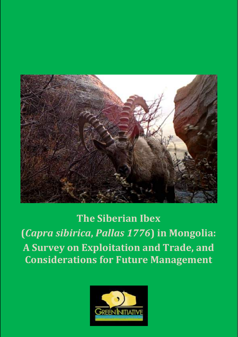

**The Siberian Ibex (***Capra sibirica***,** *Pallas 1776***) in Mongolia: A Survey on Exploitation and Trade, and Considerations for Future Management**

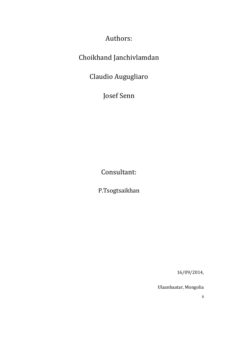Authors: 

# Choikhand Janchivlamdan

Claudio Augugliaro 

Josef Senn

Consultant: 

P.Tsogtsaikhan 

16/09/2014, 

Ulaanbaatar, Mongolia 

ii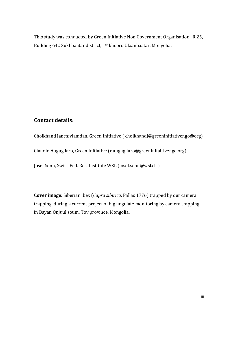This study was conducted by Green Initiative Non Government Organisation, R.25, Building 64C Sukhbaatar district, 1<sup>st</sup> khooro Ulaanbaatar, Mongolia.

#### **Contact details**:

Choikhand Janchivlamdan, Green Initiative (choikhandj@greeninitiativengo@org) Claudio Augugliaro, Green Initiative (c.augugliaro@greeninitaitivengo.org) Josef Senn, Swiss Fed. Res. Institute WSL (josef.senn@wsl.ch)

**Cover image**: Siberian ibex (*Capra sibirica*, Pallas 1776) trapped by our camera trapping, during a current project of big ungulate monitoring by camera trapping in Bayan Onjuul soum, Tov province, Mongolia.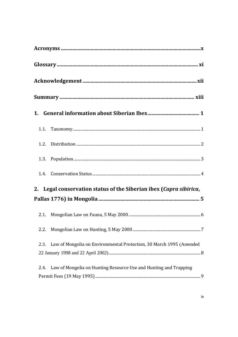| 2. Legal conservation status of the Siberian ibex (Capra sibirica,          |
|-----------------------------------------------------------------------------|
|                                                                             |
|                                                                             |
| 2.2.                                                                        |
| Law of Mongolia on Environmental Protection, 30 March 1995 (Amended<br>2.3. |
| Law of Mongolia on Hunting Resource Use and Hunting and Trapping<br>2.4.    |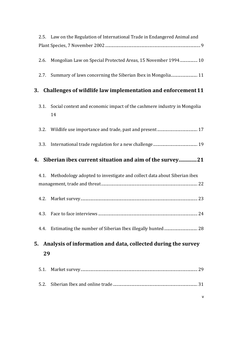|              | 2.5. Law on the Regulation of International Trade in Endangered Animal and                                                   |
|--------------|------------------------------------------------------------------------------------------------------------------------------|
|              |                                                                                                                              |
| 2.6.<br>2.7. | Mongolian Law on Special Protected Areas, 15 November 1994 10<br>Summary of laws concerning the Siberian Ibex in Mongolia 11 |
| 3.           | Challenges of wildlife law implementation and enforcement 11                                                                 |
| 3.1.         | Social context and economic impact of the cashmere industry in Mongolia<br>14                                                |
| 3.2.         |                                                                                                                              |
| 3.3.         |                                                                                                                              |
|              | 4. Siberian ibex current situation and aim of the survey21                                                                   |
|              |                                                                                                                              |
|              |                                                                                                                              |
|              | 4.1. Methodology adopted to investigate and collect data about Siberian ibex                                                 |
| 4.2.         |                                                                                                                              |
|              |                                                                                                                              |
| 4.4.         |                                                                                                                              |
| 5.           | Analysis of information and data, collected during the survey                                                                |
| 29           |                                                                                                                              |
| 5.1.         |                                                                                                                              |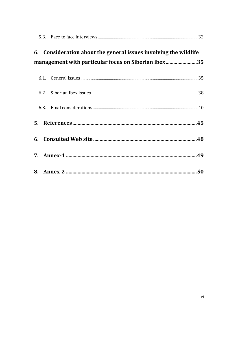|  | 6. Consideration about the general issues involving the wildlife |  |
|--|------------------------------------------------------------------|--|
|  | management with particular focus on Siberian ibex35              |  |
|  |                                                                  |  |
|  |                                                                  |  |
|  |                                                                  |  |
|  |                                                                  |  |
|  |                                                                  |  |
|  |                                                                  |  |
|  |                                                                  |  |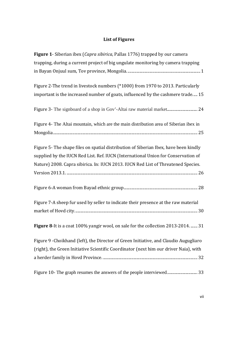### **List of Figures**

| Figure 1- Siberian ibex (Capra sibirica, Pallas 1776) trapped by our camera            |
|----------------------------------------------------------------------------------------|
| trapping, during a current project of big ungulate monitoring by camera trapping       |
|                                                                                        |
| Figure 2-The trend in livestock numbers (*1000) from 1970 to 2013. Particularly        |
| important is the increased number of goats, influenced by the cashmere trade 15        |
|                                                                                        |
| Figure 4- The Altai mountain, which are the main distribution area of Siberian ibex in |
|                                                                                        |
| Figure 5- The shape files on spatial distribution of Siberian Ibex, have been kindly   |
| supplied by the IUCN Red List. Ref. IUCN (International Union for Conservation of      |
| Nature) 2008. Capra sibirica. In: IUCN 2013. IUCN Red List of Threatened Species.      |
|                                                                                        |
|                                                                                        |
|                                                                                        |
|                                                                                        |
| Figure 7-A sheep fur used by seller to indicate their presence at the raw material     |
|                                                                                        |
|                                                                                        |
| Figure 8-It is a coat 100% yangir wool, on sale for the collection 2013-2014.  31      |
| Figure 9 - Choikhand (left), the Director of Green Initiative, and Claudio Augugliaro  |
| (right), the Green Initiative Scientific Coordinator (next him our driver Naia), with  |
|                                                                                        |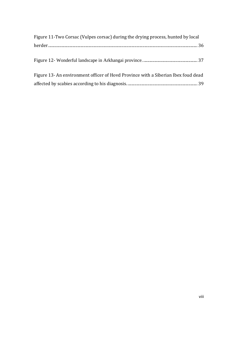| Figure 11-Two Corsac (Vulpes corsac) during the drying process, hunted by local   |  |
|-----------------------------------------------------------------------------------|--|
|                                                                                   |  |
|                                                                                   |  |
|                                                                                   |  |
| Figure 13- An environment officer of Hovd Province with a Siberian Ibex foud dead |  |
|                                                                                   |  |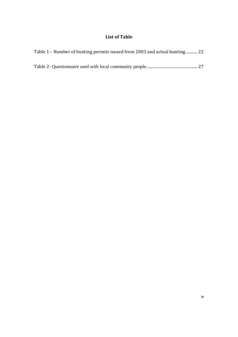#### **List of Table**

| Table 1-- Number of hunting permits issued from 2003 and actual hunting 22 |  |
|----------------------------------------------------------------------------|--|
|                                                                            |  |
|                                                                            |  |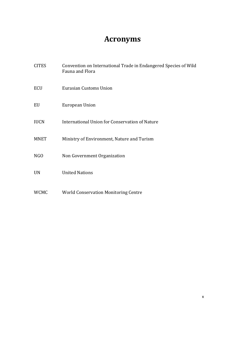# **Acronyms**

| <b>CITES</b> | Convention on International Trade in Endangered Species of Wild<br>Fauna and Flora |
|--------------|------------------------------------------------------------------------------------|
| ECU          | Eurasian Customs Union                                                             |
| EU           | European Union                                                                     |
| <b>IUCN</b>  | International Union for Conservation of Nature                                     |
| <b>MNET</b>  | Ministry of Environment, Nature and Turism                                         |
| NGO          | Non Government Organization                                                        |
| <b>UN</b>    | <b>United Nations</b>                                                              |
| <b>WCMC</b>  | <b>World Conservation Monitoring Centre</b>                                        |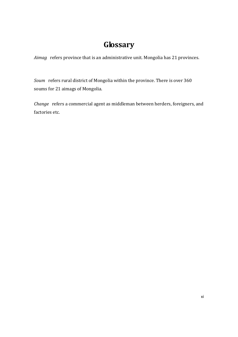## **Glossary**

Aimag refers province that is an administrative unit. Mongolia has 21 provinces.

Soum refers rural district of Mongolia within the province. There is over 360 soums for 21 aimags of Mongolia.

*Change* refers a commercial agent as middleman between herders, foreigners, and factories etc.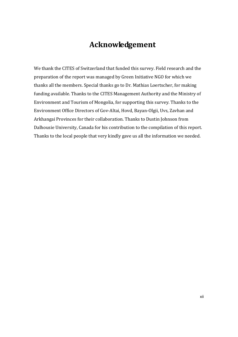## **Acknowledgement**

We thank the CITES of Switzerland that funded this survey. Field research and the preparation of the report was managed by Green Initiative NGO for which we thanks all the members. Special thanks go to Dr. Mathias Loertscher, for making funding available. Thanks to the CITES Management Authority and the Ministry of Environment and Tourism of Mongolia, for supporting this survey. Thanks to the Environment Office Directors of Gov-Altai, Hovd, Bayan-Olgii, Uvs, Zavhan and Arkhangai Provinces for their collaboration. Thanks to Dustin Johnson from Dalhousie University, Canada for his contribution to the compilation of this report. Thanks to the local people that very kindly gave us all the information we needed.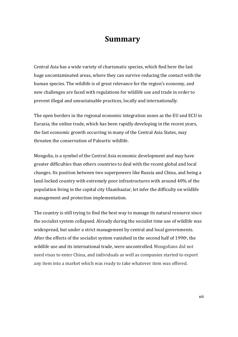### **Summary**

Central Asia has a wide variety of charismatic species, which find here the last huge uncontaminated areas, where they can survive reducing the contact with the human species. The wildlife is of great relevance for the region's economy, and new challenges are faced with regulations for wildlife use and trade in order to prevent illegal and unsustainable practices, locally and internationally.

The open borders in the regional economic integration zones as the EU and ECU in Eurasia, the online trade, which has been rapidly developing in the recent years, the fast economic growth occurring in many of the Central Asia States, may threaten the conservation of Paleartic wildlife.

Mongolia, is a symbol of the Central Asia economic development and may have greater difficulties than others countries to deal with the recent global and local changes. Its position between two superpowers like Russia and China, and being a land-locked country with extremely poor infrastructures with around 40% of the population living in the capital city Ulaanbaatar, let infer the difficulty on wildlife management and protection implementation.

The country is still trying to find the best way to manage its natural resource since the socialist system collapsed. Already during the socialist time use of wildlife was widespread, but under a strict management by central and local governments. After the effects of the socialist system vanished in the second half of 1990<sup>s</sup>, the wildlife use and its international trade, were uncontrolled. Mongolians did not need visas to enter China, and individuals as well as companies started to export any item into a market which was ready to take whatever item was offered.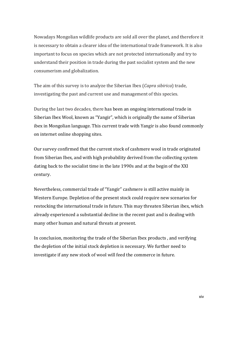Nowadays Mongolian wildlife products are sold all over the planet, and therefore it is necessary to obtain a clearer idea of the international trade framework. It is also important to focus on species which are not protected internationally and try to understand their position in trade during the past socialist system and the new consumerism and globalization.

The aim of this survey is to analyze the Siberian Ibex (*Capra sibirica*) trade, investigating the past and current use and management of this species.

During the last two decades, there has been an ongoing international trade in Siberian Ibex Wool, known as "Yangir", which is originally the name of Siberian ibex in Mongolian language. This current trade with Yangir is also found commonly on internet online shopping sites.

Our survey confirmed that the current stock of cashmere wool in trade originated from Siberian Ibex, and with high probability derived from the collecting system dating back to the socialist time in the late 1990s and at the begin of the XXI century. 

Nevertheless, commercial trade of "Yangir" cashmere is still active mainly in Western Europe. Depletion of the present stock could require new scenarios for restocking the international trade in future. This may threaten Siberian ibex, which already experienced a substantial decline in the recent past and is dealing with many other human and natural threats at present.

In conclusion, monitoring the trade of the Siberian Ibex products, and verifying the depletion of the initial stock depletion is necessary. We further need to investigate if any new stock of wool will feed the commerce in future.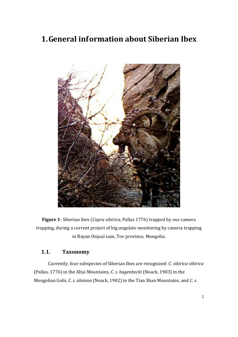## **1.General information about Siberian Ibex**



**Figure 1**- Siberian ibex (*Capra sibirica*, Pallas 1776) trapped by our camera trapping, during a current project of big ungulate monitoring by camera trapping in Bayan Onjuul sum, Tov province, Mongolia.

#### **1.1. Taxonomy**

Currently, four subspecies of Siberian Ibex are recognized: *C. sibirica sibirica* (Pallas, 1776) in the Altai Mountains, *C. s. hagenbecki* (Noack, 1903) in the Mongolian Gobi, *C. s. alaiana* (Noack, 1902) in the Tian Shan Mountains, and *C. s.*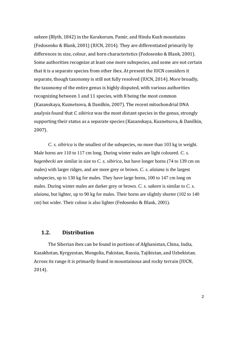sakeen (Blyth, 1842) in the Karakorum, Pamir, and Hindu Kush mountains (Fedosenko & Blank, 2001) (IUCN, 2014). They are differentiated primarily by differences in size, colour, and horn characteristics (Fedosenko & Blank, 2001). Some authorities recognize at least one more subspecies, and some are not certain that it is a separate species from other ibex. At present the IUCN considers it separate, though taxonomy is still not fully resolved (IUCN, 2014). More broadly, the taxonomy of the entire genus is highly disputed, with various authorities recognizing between 1 and 11 species, with 8 being the most common (Kazanskaya, Kuznetsova, & Danilkin, 2007). The recent mitochondrial DNA analysis found that *C. sibirica* was the most distant species in the genus, strongly supporting their status as a separate species (Kazanskaya, Kuznetsova, & Danilkin, 2007). 

*C. s. sibirica* is the smallest of the subspecies, no more than 103 kg in weight. Male horns are 110 to 117 cm long. During winter males are light coloured. *C. s. hagenbecki* are similar in size to *C. s. sibirica*, but have longer horns (74 to 139 cm on males) with larger ridges, and are more grey or brown. *C. s. alaiana* is the largest subspecies, up to 130 kg for males. They have large horns, 100 to 147 cm long on males. During winter males are darker grey or brown. *C. s. sakeen* is similar to *C. s. alaiana*, but lighter, up to 90 kg for males. Their horns are slightly shorter (102 to 140 cm) but wider. Their colour is also lighter (Fedosenko & Blank, 2001).

#### **1.2. Distribution**

The Siberian ibex can be found in portions of Afghanistan, China, India, Kazakhstan, Kyrgyzstan, Mongolia, Pakistan, Russia, Tajikistan, and Uzbekistan. Across its range it is primarily found in mountainous and rocky terrain (IUCN, 2014).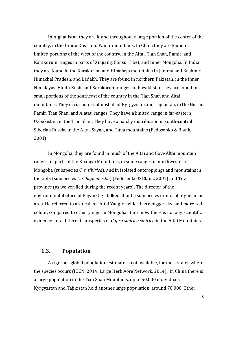In Afghanistan they are found throughout a large portion of the center of the country, in the Hindu Kush and Pamir mountains. In China they are found in limited portions of the west of the country, in the Altai, Tian Shan, Pamir, and Karakorum ranges in parts of Xinjiang, Gansu, Tibet, and Inner Mongolia. In India they are found in the Karakorum and Himalaya mountains in Jammu and Kashmir, Himachal Pradesh, and Ladakh. They are found in northern Pakistan, in the inner Himalayas, Hindu Kush, and Karakorum ranges. In Kazakhstan they are found in small portions of the southeast of the country in the Tian Shan and Altai mountains. They occur across almost all of Kyrgyzstan and Tajikistan, in the Hissar, Pamir, Tian Shan, and Alatau ranges. They have a limited range in far-eastern Uzbekistan, in the Tian Shan. They have a patchy distribution in south-central Siberian Russia, in the Altai, Sayan, and Tuva mountains (Fedosenko & Blank, 2001). 

In Mongolia, they are found in much of the Altai and Govi-Altai mountain ranges, in parts of the Khangai Mountains, in some ranges in northwestern Mongolia (subspecies *C. s. sibirica*), and in isolated outcroppings and mountains in the Gobi (subspecies *C. s. hagenbeckii*) (Fedosenko & Blank, 2001) and Tov province (as we verified during the recent years). The director of the environmental office of Bayan Olgji talked about a subspecies or morphotype in his area. He referred to a so-called "Altai Yangir" which has a bigger size and more red colour, compared to other vangir in Mongolia. Until now there is not any scientific evidence for a different subspecies of *Capra sibirica sibirica* in the Altai Mountains.

#### **1.3. Population**

A rigorous global population estimate is not available, for most states where the species occurs (IUCN, 2014; Large Herbivore Network, 2014). In China there is a large population in the Tian Shan Mountains, up to 50,000 individuals. Kyrgyzstan and Tajikistan hold another large population, around 70,000. Other

3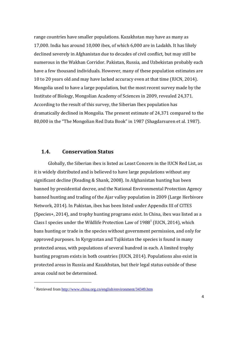range countries have smaller populations. Kazakhstan may have as many as 17,000. India has around 10,000 ibex, of which 6,000 are in Ladakh. It has likely declined severely in Afghanistan due to decades of civil conflict, but may still be numerous in the Wakhan Corridor. Pakistan, Russia, and Uzbekistan probably each have a few thousand individuals. However, many of these population estimates are 10 to 20 years old and may have lacked accuracy even at that time (IUCN, 2014). Mongolia used to have a large population, but the most recent survey made by the Institute of Biology, Mongolian Academy of Sciences in 2009, revealed 24,371. According to the result of this survey, the Siberian Ibex population has dramatically declined in Mongolia. The present estimate of 24,371 compared to the 80,000 in the "The Mongolian Red Data Book" in 1987 (Shagdarsuren et al. 1987).

#### 1.4. **Conservation Status**

Globally, the Siberian ibex is listed as Least Concern in the IUCN Red List, as it is widely distributed and is believed to have large populations without any significant decline (Reading & Shank, 2008). In Afghanistan hunting has been banned by presidential decree, and the National Environmental Protection Agency banned hunting and trading of the Ajar valley population in 2009 (Large Herbivore Network, 2014). In Pakistan, ibex has been listed under Appendix III of CITES (Species+, 2014), and trophy hunting programs exist. In China, ibex was listed as a Class I species under the Wildlife Protection Law of  $1988<sup>1</sup>$  (IUCN, 2014), which bans hunting or trade in the species without government permission, and only for approved purposes. In Kyrgyzstan and Tajikistan the species is found in many protected areas, with populations of several hundred in each. A limited trophy hunting program exists in both countries (IUCN, 2014). Populations also exist in protected areas in Russia and Kazakhstan, but their legal status outside of these areas could not be determined.

 

<sup>&</sup>lt;sup>1</sup> Retrieved from http://www.china.org.cn/english/environment/34349.htm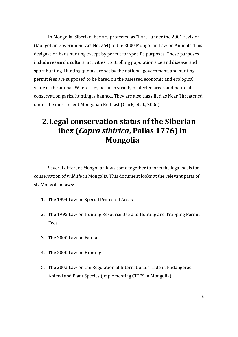In Mongolia, Siberian ibex are protected as "Rare" under the 2001 revision (Mongolian Government Act No. 264) of the 2000 Mongolian Law on Animals. This designation bans hunting except by permit for specific purposes. These purposes include research, cultural activities, controlling population size and disease, and sport hunting. Hunting quotas are set by the national government, and hunting permit fees are supposed to be based on the assessed economic and ecological value of the animal. Where they occur in strictly protected areas and national conservation parks, hunting is banned. They are also classified as Near Threatened under the most recent Mongolian Red List (Clark, et al., 2006).

## **2.Legal conservation status of the Siberian ibex (***Capra sibirica***, Pallas 1776) in Mongolia**

Several different Mongolian laws come together to form the legal basis for conservation of wildlife in Mongolia. This document looks at the relevant parts of six Mongolian laws:

- 1. The 1994 Law on Special Protected Areas
- 2. The 1995 Law on Hunting Resource Use and Hunting and Trapping Permit Fees
- 3. The 2000 Law on Fauna
- 4. The 2000 Law on Hunting
- 5. The 2002 Law on the Regulation of International Trade in Endangered Animal and Plant Species (implementing CITES in Mongolia)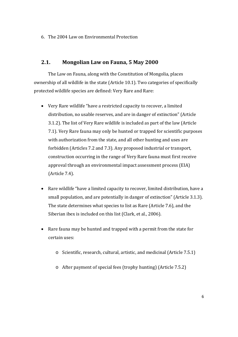6. The 2004 Law on Environmental Protection

#### **2.1. Mongolian Law on Fauna, 5 May 2000**

The Law on Fauna, along with the Constitution of Mongolia, places ownership of all wildlife in the state (Article 10.1). Two categories of specifically protected wildlife species are defined: Very Rare and Rare:

- Very Rare wildlife "have a restricted capacity to recover, a limited distribution, no usable reserves, and are in danger of extinction" (Article 3.1.2). The list of Very Rare wildlife is included as part of the law (Article 7.1). Very Rare fauna may only be hunted or trapped for scientific purposes with authorization from the state, and all other hunting and uses are forbidden (Articles 7.2 and 7.3). Any proposed industrial or transport, construction occurring in the range of Very Rare fauna must first receive approval through an environmental impact assessment process (EIA) (Article 7.4).
- Rare wildlife "have a limited capacity to recover, limited distribution, have a small population, and are potentially in danger of extinction" (Article 3.1.3). The state determines what species to list as Rare (Article 7.6), and the Siberian ibex is included on this list (Clark, et al., 2006).
- Rare fauna may be hunted and trapped with a permit from the state for certain uses:
	- $\circ$  Scientific, research, cultural, artistic, and medicinal (Article 7.5.1)
	- $\circ$  After payment of special fees (trophy hunting) (Article 7.5.2)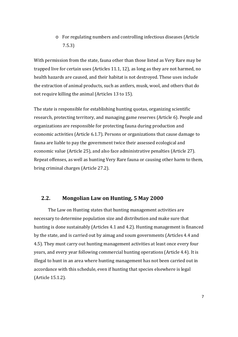o For regulating numbers and controlling infectious diseases (Article 7.5.3) 

With permission from the state, fauna other than those listed as Very Rare may be trapped live for certain uses  $(A$ rticles  $11.1, 12$ , as long as they are not harmed, no health hazards are caused, and their habitat is not destroyed. These uses include the extraction of animal products, such as antlers, musk, wool, and others that do not require killing the animal (Articles 13 to 15).

The state is responsible for establishing hunting quotas, organizing scientific research, protecting territory, and managing game reserves (Article 6). People and organizations are responsible for protecting fauna during production and economic activities (Article 6.1.7). Persons or organizations that cause damage to fauna are liable to pay the government twice their assessed ecological and economic value (Article 25), and also face administrative penalties (Article 27). Repeat offenses, as well as hunting Very Rare fauna or causing other harm to them, bring criminal charges (Article 27.2).

#### **2.2. Mongolian Law on Hunting, 5 May 2000**

The Law on Hunting states that hunting management activities are necessary to determine population size and distribution and make sure that hunting is done sustainably (Articles 4.1 and 4.2). Hunting management is financed by the state, and is carried out by aimag and soum governments (Articles 4.4 and 4.5). They must carry out hunting management activities at least once every four years, and every year following commercial hunting operations (Article 4.4). It is illegal to hunt in an area where hunting management has not been carried out in accordance with this schedule, even if hunting that species elsewhere is legal (Article 15.1.2).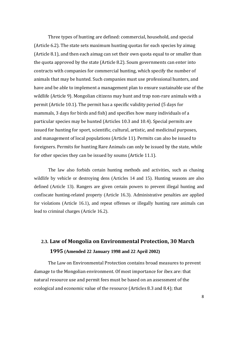Three types of hunting are defined: commercial, household, and special (Article 6.2). The state sets maximum hunting quotas for each species by aimag (Article 8.1), and then each aimag can set their own quota equal to or smaller than the quota approved by the state (Article 8.2). Soum governments can enter into contracts with companies for commercial hunting, which specify the number of animals that may be hunted. Such companies must use professional hunters, and have and be able to implement a management plan to ensure sustainable use of the wildlife (Article 9). Mongolian citizens may hunt and trap non-rare animals with a permit (Article 10.1). The permit has a specific validity period (5 days for mammals, 3 days for birds and fish) and specifies how many individuals of a particular species may be hunted (Articles 10.3 and 10.4). Special permits are issued for hunting for sport, scientific, cultural, artistic, and medicinal purposes, and management of local populations (Article 11). Permits can also be issued to foreigners. Permits for hunting Rare Animals can only be issued by the state, while for other species they can be issued by soums (Article 11.1).

 The law also forbids certain hunting methods and activities, such as chasing wildlife by vehicle or destroying dens (Articles 14 and 15). Hunting seasons are also defined (Article 13). Rangers are given certain powers to prevent illegal hunting and confiscate hunting-related property (Article 16.3). Administrative penalties are applied for violations (Article 16.1), and repeat offenses or illegally hunting rare animals can lead to criminal charges (Article 16.2).

### **2.3. Law of Mongolia on Environmental Protection, 30 March 1995 (Amended 22 January 1998 and 22 April 2002)**

The Law on Environmental Protection contains broad measures to prevent damage to the Mongolian environment. Of most importance for ibex are: that natural resource use and permit fees must be based on an assessment of the ecological and economic value of the resource (Articles 8.3 and 8.4); that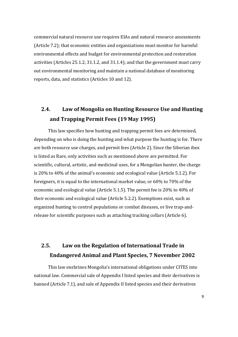commercial natural resource use requires EIAs and natural resource assessments (Article 7.2); that economic entities and organizations must monitor for harmful environmental effects and budget for environmental protection and restoration activities (Articles  $25.1.2$ ,  $31.1.2$ , and  $31.1.4$ ); and that the government must carry out environmental monitoring and maintain a national database of monitoring reports, data, and statistics (Articles 10 and 12).

### **2.4. Law of Mongolia on Hunting Resource Use and Hunting and Trapping Permit Fees (19 May 1995)**

This law specifies how hunting and trapping permit fees are determined, depending on who is doing the hunting and what purpose the hunting is for. There are both resource use charges, and permit fees (Article 2). Since the Siberian ibex is listed as Rare, only activities such as mentioned above are permitted. For scientific, cultural, artistic, and medicinal uses, for a Mongolian hunter, the charge is  $20\%$  to  $40\%$  of the animal's economic and ecological value (Article 5.1.2). For foreigners, it is equal to the international market value, or  $60\%$  to  $70\%$  of the economic and ecological value (Article 5.1.5). The permit fee is 20% to 40% of their economic and ecological value (Article 5.2.2). Exemptions exist, such as organized hunting to control populations or combat diseases, or live trap-andrelease for scientific purposes such as attaching tracking collars (Article 6).

### **2.5. Law on the Regulation of International Trade in Endangered Animal and Plant Species, 7 November 2002**

This law enshrines Mongolia's international obligations under CITES into national law. Commercial sale of Appendix I listed species and their derivatives is banned (Article 7.1), and sale of Appendix II listed species and their derivatives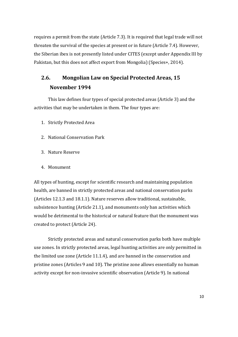requires a permit from the state (Article 7.3). It is required that legal trade will not threaten the survival of the species at present or in future (Article 7.4). However, the Siberian ibex is not presently listed under CITES (except under Appendix III by Pakistan, but this does not affect export from Mongolia) (Species+, 2014).

### **2.6. Mongolian Law on Special Protected Areas, 15 November 1994**

This law defines four types of special protected areas (Article 3) and the activities that may be undertaken in them. The four types are:

- 1. Strictly Protected Area
- 2. National Conservation Park
- 3. Nature Reserve
- 4. Monument

All types of hunting, except for scientific research and maintaining population health, are banned in strictly protected areas and national conservation parks (Articles 12.1.3 and 18.1.1). Nature reserves allow traditional, sustainable, subsistence hunting (Article 21.1), and monuments only ban activities which would be detrimental to the historical or natural feature that the monument was created to protect (Article 24).

Strictly protected areas and natural conservation parks both have multiple use zones. In strictly protected areas, legal hunting activities are only permitted in the limited use zone (Article  $11.1.4$ ), and are banned in the conservation and pristine zones (Articles 9 and 10). The pristine zone allows essentially no human activity except for non-invasive scientific observation (Article 9). In national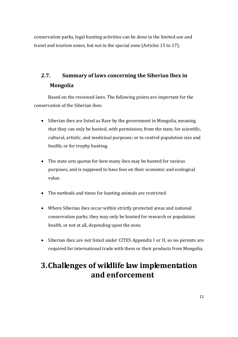conservation parks, legal hunting activities can be done in the limited use and travel and tourism zones, but not in the special zone (Articles 15 to 17).

## **2.7. Summary of laws concerning the Siberian Ibex in Mongolia**

Based on the reviewed laws. The following points are important for the conservation of the Siberian ibex:

- $\bullet$  Siberian ibex are listed as Rare by the government in Mongolia, meaning that they can only be hunted, with permission, from the state, for scientific, cultural, artistic, and medicinal purposes; or to control population size and health; or for trophy hunting.
- The state sets quotas for how many ibex may be hunted for various purposes, and is supposed to base fees on their economic and ecological value.
- The methods and times for hunting animals are restricted
- Where Siberian ibex occur within strictly protected areas and national conservation parks, they may only be hunted for research or population health, or not at all, depending upon the zone.
- Siberian ibex are not listed under CITES Appendix I or II, so no permits are required for international trade with them or their products from Mongolia.

## **3.Challenges of wildlife law implementation and enforcement**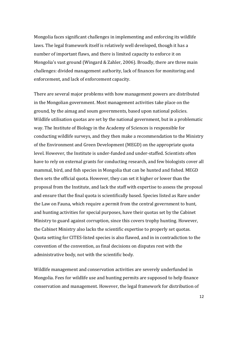Mongolia faces significant challenges in implementing and enforcing its wildlife laws. The legal framework itself is relatively well developed, though it has a number of important flaws, and there is limited capacity to enforce it on Mongolia's vast ground (Wingard & Zahler, 2006). Broadly, there are three main challenges: divided management authority, lack of finances for monitoring and enforcement, and lack of enforcement capacity.

There are several major problems with how management powers are distributed in the Mongolian government. Most management activities take place on the ground, by the aimag and soum governments, based upon national policies. Wildlife utilisation quotas are set by the national government, but in a problematic way. The Institute of Biology in the Academy of Sciences is responsible for conducting wildlife surveys, and they then make a recommendation to the Ministry of the Environment and Green Development (MEGD) on the appropriate quota level. However, the Institute is under-funded and under-staffed. Scientists often have to rely on external grants for conducting research, and few biologists cover all mammal, bird, and fish species in Mongolia that can be hunted and fished. MEGD then sets the official quota. However, they can set it higher or lower than the proposal from the Institute, and lack the staff with expertise to assess the proposal and ensure that the final quota is scientifically based. Species listed as Rare under the Law on Fauna, which require a permit from the central government to hunt, and hunting activities for special purposes, have their quotas set by the Cabinet Ministry to guard against corruption, since this covers trophy hunting. However, the Cabinet Ministry also lacks the scientific expertise to properly set quotas. Quota setting for CITES-listed species is also flawed, and in in contradiction to the convention of the convention, as final decisions on disputes rest with the administrative body, not with the scientific body.

Wildlife management and conservation activities are severely underfunded in Mongolia. Fees for wildlife use and hunting permits are supposed to help finance conservation and management. However, the legal framework for distribution of

12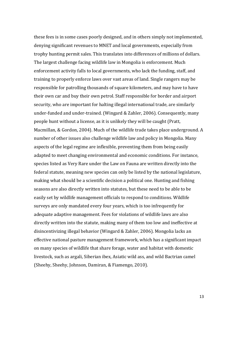these fees is in some cases poorly designed, and in others simply not implemented, denying significant revenues to MNET and local governments, especially from trophy hunting permit sales. This translates into differences of millions of dollars. The largest challenge facing wildlife law in Mongolia is enforcement. Much enforcement activity falls to local governments, who lack the funding, staff, and training to properly enforce laws over vast areas of land. Single rangers may be responsible for patrolling thousands of square kilometers, and may have to have their own car and buy their own petrol. Staff responsible for border and airport security, who are important for halting illegal international trade, are similarly under-funded and under-trained. (Wingard & Zahler, 2006). Consequently, many people hunt without a license, as it is unlikely they will be caught (Pratt, Macmillan, & Gordon, 2004). Much of the wildlife trade takes place underground. A number of other issues also challenge wildlife law and policy in Mongolia. Many aspects of the legal regime are inflexible, preventing them from being easily adapted to meet changing environmental and economic conditions. For instance, species listed as Very Rare under the Law on Fauna are written directly into the federal statute, meaning new species can only be listed by the national legislature, making what should be a scientific decision a political one. Hunting and fishing seasons are also directly written into statutes, but these need to be able to be easily set by wildlife management officials to respond to conditions. Wildlife surveys are only mandated every four years, which is too infrequently for adequate adaptive management. Fees for violations of wildlife laws are also directly written into the statute, making many of them too low and ineffective at disincentivizing illegal behavior (Wingard & Zahler, 2006). Mongolia lacks an effective national pasture management framework, which has a significant impact on many species of wildlife that share forage, water and habitat with domestic livestock, such as argali, Siberian ibex, Asiatic wild ass, and wild Bactrian camel (Sheehy, Sheehy, Johnson, Damiran, & Fiamengo, 2010).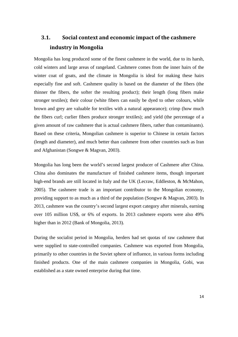### **3.1. Social context and economic impact of the cashmere industry in Mongolia**

Mongolia has long produced some of the finest cashmere in the world, due to its harsh, cold winters and large areas of rangeland. Cashmere comes from the inner hairs of the winter coat of goats, and the climate in Mongolia is ideal for making these hairs especially fine and soft. Cashmere quality is based on the diameter of the fibers (the thinner the fibers, the softer the resulting product); their length (long fibers make stronger textiles); their colour (white fibers can easily be dyed to other colours, while brown and grey are valuable for textiles with a natural appearance); crimp (how much the fibers curl; curlier fibers produce stronger textiles); and yield (the percentage of a given amount of raw cashmere that is actual cashmere fibers, rather than contaminants). Based on these criteria, Mongolian cashmere is superior to Chinese in certain factors (length and diameter), and much better than cashmere from other countries such as Iran and Afghanistan (Songwe & Magvan, 2003).

Mongolia has long been the world's second largest producer of Cashmere after China. China also dominates the manufacture of finished cashmere items, though important high-end brands are still located in Italy and the UK (Lecraw, Eddleston, & McMahon, 2005). The cashmere trade is an important contributor to the Mongolian economy, providing support to as much as a third of the population (Songwe & Magvan, 2003). In 2013, cashmere was the country's second largest export category after minerals, earning over 105 million US\$, or 6% of exports. In 2013 cashmere exports were also 49% higher than in 2012 (Bank of Mongolia, 2013).

During the socialist period in Mongolia, herders had set quotas of raw cashmere that were supplied to state-controlled companies. Cashmere was exported from Mongolia, primarily to other countries in the Soviet sphere of influence, in various forms including finished products. One of the main cashmere companies in Mongolia, Gobi, was established as a state owned enterprise during that time.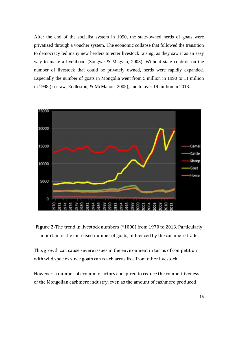After the end of the socialist system in 1990, the state-owned herds of goats were privatized through a voucher system. The economic collapse that followed the transition to democracy led many new herders to enter livestock raising, as they saw it as an easy way to make a livelihood (Songwe & Magvan, 2003). Without state controls on the number of livestock that could be privately owned, herds were rapidly expanded. Especially the number of goats in Mongolia went from 5 million in 1990 to 11 million in 1998 (Lecraw, Eddleston, & McMahon, 2005), and to over 19 million in 2013.





This growth can cause severe issues in the environment in terms of competition with wild species since goats can reach areas free from other livestock.

However, a number of economic factors conspired to reduce the competitiveness of the Mongolian cashmere industry, even as the amount of cashmere produced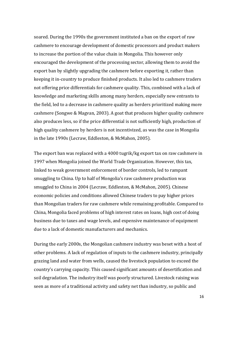soared. During the 1990s the government instituted a ban on the export of raw cashmere to encourage development of domestic processors and product makers to increase the portion of the value chain in Mongolia. This however only encouraged the development of the processing sector, allowing them to avoid the export ban by slightly upgrading the cashmere before exporting it, rather than keeping it in-country to produce finished products. It also led to cashmere traders not offering price differentials for cashmere quality. This, combined with a lack of knowledge and marketing skills among many herders, especially new entrants to the field, led to a decrease in cashmere quality as herders prioritized making more cashmere (Songwe & Magvan, 2003). A goat that produces higher quality cashmere also produces less, so if the price differential is not sufficiently high, production of high quality cashmere by herders is not incentivized, as was the case in Mongolia in the late 1990s (Lecraw, Eddleston, & McMahon, 2005).

The export ban was replaced with a 4000 tugrik/kg export tax on raw cashmere in 1997 when Mongolia joined the World Trade Organization. However, this tax, linked to weak government enforcement of border controls, led to rampant smuggling to China. Up to half of Mongolia's raw cashmere production was smuggled to China in 2004 (Lecraw, Eddleston, & McMahon, 2005). Chinese economic policies and conditions allowed Chinese traders to pay higher prices than Mongolian traders for raw cashmere while remaining profitable. Compared to China, Mongolia faced problems of high interest rates on loans, high cost of doing business due to taxes and wage levels, and expensive maintenance of equipment due to a lack of domestic manufacturers and mechanics.

During the early 2000s, the Mongolian cashmere industry was beset with a host of other problems. A lack of regulation of inputs to the cashmere industry, principally grazing land and water from wells, caused the livestock population to exceed the country's carrying capacity. This caused significant amounts of desertification and soil degradation. The industry itself was poorly structured. Livestock raising was seen as more of a traditional activity and safety net than industry, so public and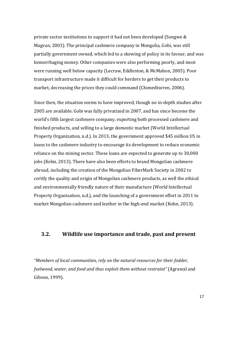private sector institutions to support it had not been developed (Songwe & Magvan, 2003). The principal cashmere company in Mongolia, Gobi, was still partially government owned, which led to a skewing of policy in its favour, and was hemorrhaging money. Other companies were also performing poorly, and most were running well below capacity (Lecraw, Eddleston, & McMahon, 2005). Poor transport infrastructure made it difficult for herders to get their products to market, decreasing the prices they could command (Chimedtseren, 2006).

Since then, the situation seems to have improved, though no in-depth studies after 2005 are available. Gobi was fully privatized in 2007, and has since become the world's fifth largest cashmere company, exporting both processed cashmere and finished products, and selling to a large domestic market (World Intellectual Property Organization, n.d.). In 2013, the government approved \$45 million US in loans to the cashmere industry to encourage its development to reduce economic reliance on the mining sector. These loans are expected to generate up to 30,000 jobs (Kohn, 2013). There have also been efforts to brand Mongolian cashmere abroad, including the creation of the Mongolian FiberMark Society in 2002 to certify the quality and origin of Mongolian cashmere products, as well the ethical and environmentally friendly nature of their manufacture (World Intellectual Property Organization, n.d.), and the launching of a government effort in 2011 to market Mongolian cashmere and leather in the high-end market (Kohn, 2013).

#### **3.2. Wildlife use importance and trade, past and present**

*"Members of local communities, rely on the natural resources for their fodder, fuelwood, water, and food and thus exploit them without restraint"* (Agrawal and Gibson, 1999).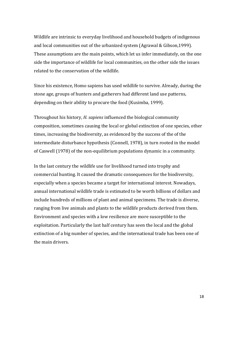Wildlife are intrinsic to everyday livelihood and household budgets of indigenous and local communities out of the urbanized system (Agrawal & Gibson,1999). These assumptions are the main points, which let us infer immediately, on the one side the importance of wildlife for local communities, on the other side the issues related to the conservation of the wildlife.

Since his existence, Homo sapiens has used wildlife to survive. Already, during the stone age, groups of hunters and gatherers had different land use patterns, depending on their ability to procure the food (Kusimba, 1999).

Throughout his history, *H. sapiens* influenced the biological community composition, sometimes causing the local or global extinction of one species, other times, increasing the biodiversity, as evidenced by the success of the of the intermediate disturbance hypothesis (Connell, 1978), in turn rooted in the model of Caswell (1978) of the non-equilibrium populations dynamic in a community.

In the last century the wildlife use for livelihood turned into trophy and commercial hunting. It caused the dramatic consequences for the biodiversity, especially when a species became a target for international interest. Nowadays, annual international wildlife trade is estimated to be worth billions of dollars and include hundreds of millions of plant and animal specimens. The trade is diverse, ranging from live animals and plants to the wildlife products derived from them. Environment and species with a low resilience are more susceptible to the exploitation. Particularly the last half century has seen the local and the global extinction of a big number of species, and the international trade has been one of the main drivers.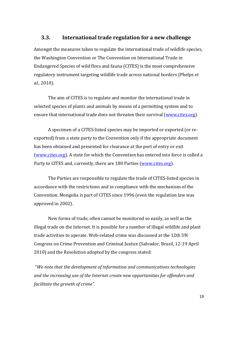#### **3.3. International trade regulation for a new challenge**

Amongst the measures taken to regulate the international trade of wildlife species, the Washington Convention or The Convention on International Trade in Endangered Species of wild flora and fauna (CITES) is the most comprehensive regulatory instrument targeting wildlife trade across national borders (Phelps *et al*., 2010). 

The aim of CITES is to regulate and monitor the international trade in selected species of plants and animals by means of a permitting system and to ensure that international trade does not threaten their survival (www.cites.org).

A specimen of a CITES-listed species may be imported or exported (or reexported) from a state party to the Convention only if the appropriate document has been obtained and presented for clearance at the port of entry or exit (www.cites.org). A state for which the Convention has entered into force is called a Party to CITES and, currently, there are 180 Parties (www.cites.org).

The Parties are responsible to regulate the trade of CITES-listed species in accordance with the restrictions and in compliance with the mechanism of the Convention. Mongolia is part of CITES since 1996 (even the regulation law was approved in 2002).

New forms of trade, often cannot be monitored so easily, as well as the illegal trade on the Internet. It is possible for a number of illegal wildlife and plant trade activities to operate. Web-related crime was discussed at the 12th UN Congress on Crime Prevention and Criminal Justice (Salvador, Brazil, 12-19 April 2010) and the Resolution adopted by the congress stated:

 "*We note that the development of information and communications technologies and the increasing use of the Internet create new opportunities for offenders and facilitate the growth of crime".*

19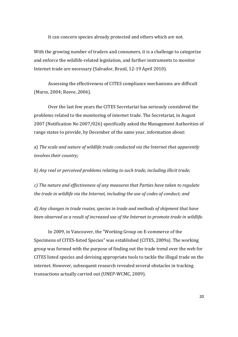It can concern species already protected and others which are not.

With the growing number of traders and consumers, it is a challenge to categorize and enforce the wildlife-related legislation, and further instruments to monitor Internet trade are necessary (Salvador, Brazil, 12-19 April 2010).

Assessing the effectiveness of CITES compliance mechanisms are difficult (Marss, 2004; Reeve, 2006).

Over the last few years the CITES Secretariat has seriously considered the problems related to the monitoring of internet trade. The Secretariat, in August 2007 (Notification No 2007/026) specifically asked the Management Authorities of range states to provide, by December of the same year, information about:

a) *The scale and nature of wildlife trade conducted via the Internet that apparently involves their country;*

*b) Any real or perceived problems relating to such trade, including illicit trade;*

*c) The nature and effectiveness of any measures that Parties have taken to regulate the trade in wildlife via the Internet, including the use of codes of conduct; and*

*d) Any changes in trade routes, species in trade and methods of shipment that have been observed as a result of increased use of the Internet to promote trade in wildlife.*

In 2009, in Vancouver, the "Working Group on E-commerce of the Specimens of CITES-listed Species" was established (CITES, 2009a). The working group was formed with the purpose of finding out the trade trend over the web for CITES listed species and devising appropriate tools to tackle the illegal trade on the internet. However, subsequent research revealed several obstacles in tracking transactions actually carried out (UNEP-WCMC, 2009).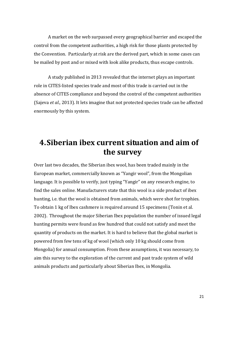A market on the web surpassed every geographical barrier and escaped the control from the competent authorities, a high risk for those plants protected by the Convention. Particularly at risk are the derived part, which in some cases can be mailed by post and or mixed with look alike products, thus escape controls.

A study published in 2013 revealed that the internet plays an important role in CITES-listed species trade and most of this trade is carried out in the absence of CITES compliance and beyond the control of the competent authorities (Sajeva et al., 2013). It lets imagine that not protected species trade can be affected enormously by this system.

## **4.Siberian ibex current situation and aim of the survey**

Over last two decades, the Siberian ibex wool, has been traded mainly in the European market, commercially known as "Yangir wool", from the Mongolian language. It is possible to verify, just typing "Yangir" on any research engine, to find the sales online. Manufacturers state that this wool is a side product of ibex hunting, i.e. that the wool is obtained from animals, which were shot for trophies. To obtain 1 kg of Ibex cashmere is required around 15 specimens (Tonin et al. 2002). Throughout the major Siberian Ibex population the number of issued legal hunting permits were found as few hundred that could not satisfy and meet the quantity of products on the market. It is hard to believe that the global market is powered from few tens of kg of wool (which only 10 kg should come from Mongolia) for annual consumption. From these assumptions, it was necessary, to aim this survey to the exploration of the current and past trade system of wild animals products and particularly about Siberian Ibex, in Mongolia.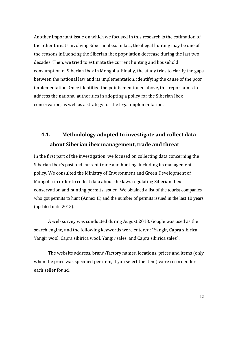Another important issue on which we focused in this research is the estimation of the other threats involving Siberian ibex. In fact, the illegal hunting may be one of the reasons influencing the Siberian ibex population decrease during the last two decades. Then, we tried to estimate the current hunting and household consumption of Siberian Ibex in Mongolia. Finally, the study tries to clarify the gaps between the national law and its implementation, identifying the cause of the poor implementation. Once identified the points mentioned above, this report aims to address the national authorities in adopting a policy for the Siberian Ibex conservation, as well as a strategy for the legal implementation.

### **4.1. Methodology adopted to investigate and collect data about Siberian ibex management, trade and threat**

In the first part of the investigation, we focused on collecting data concerning the Siberian Ibex's past and current trade and hunting, including its management policy. We consulted the Ministry of Environment and Green Development of Mongolia in order to collect data about the laws regulating Siberian Ibex conservation and hunting permits issued. We obtained a list of the tourist companies who got permits to hunt (Annex II) and the number of permits issued in the last 10 years (updated until 2013).

A web survey was conducted during August 2013. Google was used as the search engine, and the following keywords were entered: "Yangir, Capra sibirica, Yangir wool, Capra sibirica wool, Yangir sales, and Capra sibirica sales",

The website address, brand/factory names, locations, prices and items (only when the price was specified per item, if you select the item) were recorded for each seller found.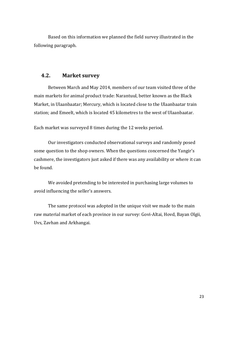Based on this information we planned the field survey illustrated in the following paragraph.

#### **4.2. Market survey**

Between March and May 2014, members of our team visited three of the main markets for animal product trade: Narantuul, better known as the Black Market, in Ulaanbaatar; Mercury, which is located close to the Ulaanbaatar train station; and Emeelt, which is located 45 kilometres to the west of Ulaanbaatar.

Each market was surveyed 8 times during the 12 weeks period.

Our investigators conducted observational surveys and randomly posed some question to the shop owners. When the questions concerned the Yangir's cashmere, the investigators just asked if there was any availability or where it can be found. 

We avoided pretending to be interested in purchasing large volumes to avoid influencing the seller's answers.

The same protocol was adopted in the unique visit we made to the main raw material market of each province in our survey: Govi-Altai, Hovd, Bayan Olgii, Uvs, Zavhan and Arkhangai.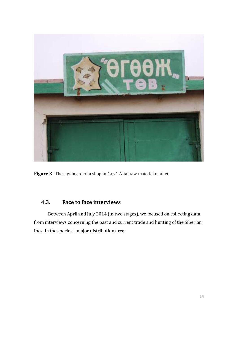

**Figure 3‐** The signboard of a shop in Gov'-Altai raw material market

#### **4.3. Face to face interviews**

Between April and July 2014 (in two stages), we focused on collecting data from interviews concerning the past and current trade and hunting of the Siberian Ibex, in the species's major distribution area.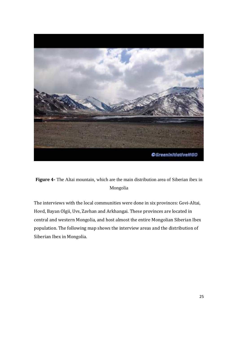

**Figure 4‐** The Altai mountain, which are the main distribution area of Siberian ibex in Mongolia

The interviews with the local communities were done in six provinces: Govi-Altai, Hovd, Bayan Olgii, Uvs, Zavhan and Arkhangai. These provinces are located in central and western Mongolia, and host almost the entire Mongolian Siberian Ibex population. The following map shows the interview areas and the distribution of Siberian Ibex in Mongolia.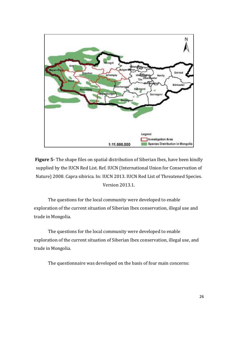

**Figure 5**- The shape files on spatial distribution of Siberian Ibex, have been kindly supplied by the IUCN Red List. Ref. IUCN (International Union for Conservation of Nature) 2008. Capra sibirica. In: IUCN 2013. IUCN Red List of Threatened Species. Version 2013.1.

The questions for the local community were developed to enable exploration of the current situation of Siberian Ibex conservation, illegal use and trade in Mongolia.

The questions for the local community were developed to enable exploration of the current situation of Siberian Ibex conservation, illegal use, and trade in Mongolia.

The questionnaire was developed on the basis of four main concerns: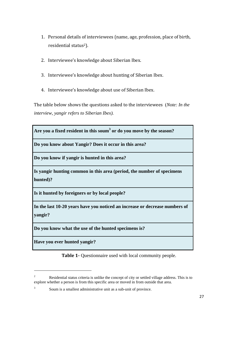- 1. Personal details of interviewees (name, age, profession, place of birth, residential status<sup>2</sup>).
- 2. Interviewee's knowledge about Siberian Ibex.
- 3. Interviewee's knowledge about hunting of Siberian Ibex.
- 4. Interviewee's knowledge about use of Siberian Ibex.

The table below shows the questions asked to the interviewees (*Note: In the interview, yangir refers to Siberian Ibex).* 

**Are you a fixed resident in this soum<sup>3</sup> or do you move by the season?**

**Do you know about Yangir? Does it occur in this area?**

**Do you know if yangir is hunted in this area?**

**Is yangir hunting common in this area (period, the number of specimens hunted)?**

**Is it hunted by foreigners or by local people?**

**In the last 10-20 years have you noticed an increase or decrease numbers of yangir?**

**Do you know what the use of the hunted specimens is?**

**Have you ever hunted yangir?**

 

**Table 1‐** Questionnaire used with local community people.

<sup>2</sup> Residential status criteria is unlike the concept of city or settled village address. This is to explore whether a person is from this specific area or moved in from outside that area.

<sup>3</sup> Soum is a smallest administrative unit as a sub-unit of province.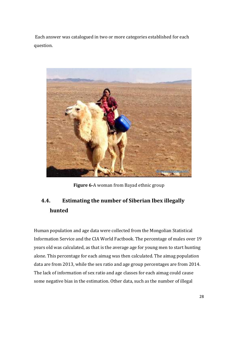Each answer was catalogued in two or more categories established for each question. 



**Figure 6-A** woman from Bayad ethnic group

### **4.4. Estimating the number of Siberian Ibex illegally hunted**

Human population and age data were collected from the Mongolian Statistical Information Service and the CIA World Factbook. The percentage of males over 19 years old was calculated, as that is the average age for young men to start hunting alone. This percentage for each aimag was then calculated. The aimag population data are from 2013, while the sex ratio and age group percentages are from 2014. The lack of information of sex ratio and age classes for each aimag could cause some negative bias in the estimation. Other data, such as the number of illegal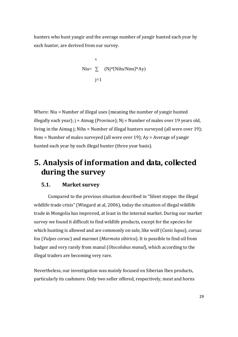hunters who hunt yangir and the average number of yangir hunted each year by each hunter, are derived from our survey.

$$
6
$$
\nNiu=  $\sum$  (Nj\*[Nihs/Nms]\*Ay)\n
$$
j=1
$$

Where: Niu = Number of illegal uses (meaning the number of yangir hunted illegally each year);  $i =$  Aimag (Province);  $Ni =$  Number of males over 19 years old, living in the Aimag j; Nihs = Number of illegal hunters surveyed (all were over 19); Nms = Number of males surveyed (all were over 19);  $Ay = Average$  of yangir hunted each year by each illegal hunter (three year basis).

## **5. Analysis of information and data, collected during the survey**

#### **5.1. Market survey**

Compared to the previous situation described in "Silent steppe: the illegal wildlife trade crisis" (Wingard at al, 2006), today the situation of illegal wildlife trade in Mongolia has improved, at least in the internal market. During our market survey we found it difficult to find wildlife products, except for the species for which hunting is allowed and are commonly on sale, like wolf (*Canis lupus*), corsac fox (*Vulpes corsac*) and marmot (*Marmota sibirica*). It is possible to find oil from badger and very rarely from manul (*Otocolobus manul*), which according to the illegal traders are becoming very rare.

Nevertheless, our investigation was mainly focused on Siberian Ibex products, particularly its cashmere. Only two seller offered, respectively, meat and horns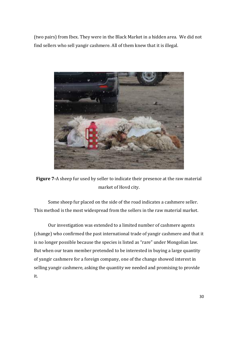(two pairs) from Ibex. They were in the Black Market in a hidden area. We did not find sellers who sell yangir cashmere. All of them knew that it is illegal.



**Figure** 7-A sheep fur used by seller to indicate their presence at the raw material market of Hovd city.

Some sheep fur placed on the side of the road indicates a cashmere seller. This method is the most widespread from the sellers in the raw material market.

Our investigation was extended to a limited number of cashmere agents (change) who confirmed the past international trade of yangir cashmere and that it is no longer possible because the species is listed as "rare" under Mongolian law. But when our team member pretended to be interested in buying a large quantity of yangir cashmere for a foreign company, one of the change showed interest in selling yangir cashmere, asking the quantity we needed and promising to provide it.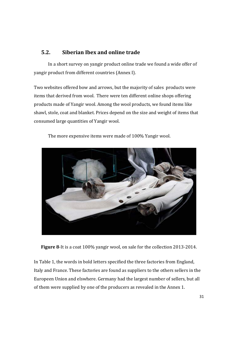#### **5.2. Siberian Ibex and online trade**

In a short survey on yangir product online trade we found a wide offer of yangir product from different countries (Annex I).

Two websites offered bow and arrows, but the majority of sales products were items that derived from wool. There were ten different online shops offering products made of Yangir wool. Among the wool products, we found items like shawl, stole, coat and blanket. Prices depend on the size and weight of items that consumed large quantities of Yangir wool.



The more expensive items were made of 100% Yangir wool.

**Figure 8**-It is a coat 100% yangir wool, on sale for the collection 2013-2014.

In Table 1, the words in bold letters specified the three factories from England, Italy and France. These factories are found as suppliers to the others sellers in the Europeen Union and elswhere. Germany had the largest number of sellers, but all of them were supplied by one of the producers as revealed in the Annex 1.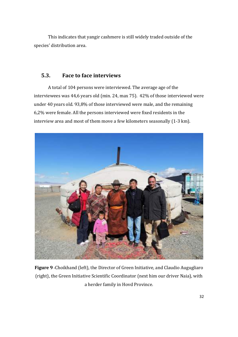This indicates that yangir cashmere is still widely traded outside of the species' distribution area.

#### **5.3. Face to face interviews**

A total of 104 persons were interviewed. The average age of the interviewees was 44,6 years old (min. 24, max 75). 42% of those interviewed were under 40 years old. 93,8% of those interviewed were male, and the remaining  $6,2%$  were female. All the persons interviewed were fixed residents in the interview area and most of them move a few kilometers seasonally (1-3 km).



Figure 9 - Choikhand (left), the Director of Green Initiative, and Claudio Augugliaro (right), the Green Initiative Scientific Coordinator (next him our driver Naia), with a herder family in Hovd Province.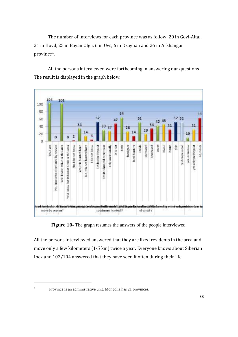The number of interviews for each province was as follow: 20 in Govi-Altai, 21 in Hovd, 25 in Bayan Olgii, 6 in Uvs, 6 in Dzayhan and 26 in Arkhangai province4. 

All the persons interviewed were forthcoming in answering our questions. The result is displayed in the graph below.



**Figure 10-** The graph resumes the answers of the people interviewed.

All the persons interviewed answered that they are fixed residents in the area and move only a few kilometers (1-5 km) twice a year. Everyone knows about Siberian Ibex and  $102/104$  answered that they have seen it often during their life.

 

<sup>4</sup>

Province is an administrative unit. Mongolia has 21 provinces.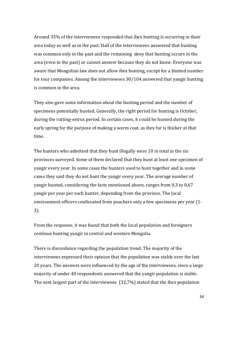Around 35% of the interviewees responded that ibex hunting is occurring in their area today as well as in the past. Half of the interviewees answered that hunting was common only in the past and the remaining deny that hunting occurs in the area (even in the past) or cannot answer because they do not know. Everyone was aware that Mongolian law does not allow ibex hunting, except for a limited number for tour companies. Among the interviewees  $30/104$  answered that yangir hunting is common in the area.

They also gave some information about the hunting period and the number of specimens potentially hunted. Generally, the right period for hunting is October, during the rutting-estrus period. In certain cases, it could be hunted during the early spring for the purpose of making a warm coat, as ibex fur is thicker at that time. 

The hunters who admitted that they hunt illegally were 10 in total in the six provinces surveyed. Some of them declared that they hunt at least one specimen of yangir every year. In some cases the hunters used to hunt together and in some cases they said they do not hunt the yangir every year. The average number of yangir hunted, considering the facts mentioned above, ranges from 0,3 to 0,67 yangir per year per each hunter, depending from the province. The local environment officers confiscated from poachers only a few specimens per year (1-3). 

From the response, it was found that both the local population and foreigners continue hunting yangir in central and western Mongolia.

There is discordance regarding the population trend. The majority of the interviewees expressed their opinion that the population was stable over the last 20 years. The answers were influenced by the age of the interviewees, since a large majority of under 40 respondents answered that the yangir population is stable. The next largest part of the interviewees  $(32,7%)$  stated that the ibex population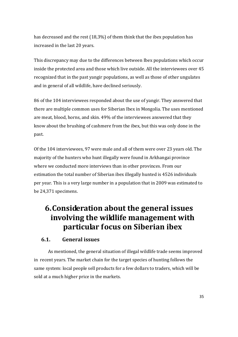has decreased and the rest  $(18,3\%)$  of them think that the ibex population has increased in the last 20 years.

This discrepancy may due to the differences between Ibex populations which occur inside the protected area and those which live outside. All the interviewees over 45 recognized that in the past yangir populations, as well as those of other ungulates and in general of all wildlife, have declined seriously.

86 of the 104 interviewees responded about the use of yangir. They answered that there are multiple common uses for Siberian Ibex in Mongolia. The uses mentioned are meat, blood, horns, and skin. 49% of the interviewees answered that they know about the brushing of cashmere from the ibex, but this was only done in the past. 

Of the 104 interviewees, 97 were male and all of them were over 23 years old. The majority of the hunters who hunt illegally were found in Arkhangai province where we conducted more interviews than in other provinces. From our estimation the total number of Siberian ibex illegally hunted is 4526 individuals per year. This is a very large number in a population that in 2009 was estimated to be 24,371 specimens.

## **6.Consideration about the general issues involving the wildlife management with particular focus on Siberian ibex**

#### **6.1. General issues**

As mentioned, the general situation of illegal wildlife trade seems improved in recent years. The market chain for the target species of hunting follows the same system: local people sell products for a few dollars to traders, which will be sold at a much higher price in the markets.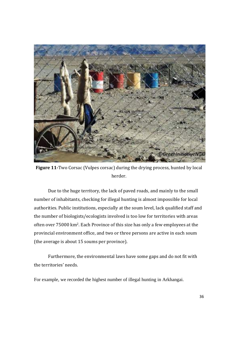

**Figure 11-Two Corsac (Vulpes corsac) during the drying process, hunted by local** herder.

Due to the huge territory, the lack of paved roads, and mainly to the small number of inhabitants, checking for illegal hunting is almost impossible for local authorities. Public institutions, especially at the soum level, lack qualified staff and the number of biologists/ecologists involved is too low for territories with areas often over 75000 km<sup>2</sup>. Each Province of this size has only a few employees at the provincial environment office, and two or three persons are active in each soum (the average is about 15 soums per province).

Furthermore, the environmental laws have some gaps and do not fit with the territories' needs.

For example, we recorded the highest number of illegal hunting in Arkhangai.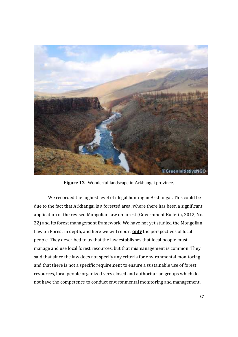

**Figure 12‐** Wonderful landscape in Arkhangai province.

We recorded the highest level of illegal hunting in Arkhangai. This could be due to the fact that Arkhangai is a forested area, where there has been a significant application of the revised Mongolian law on forest (Government Bulletin, 2012, No. 22) and its forest management framework. We have not yet studied the Mongolian Law on Forest in depth, and here we will report **only** the perspectives of local people. They described to us that the law establishes that local people must manage and use local forest resources, but that mismanagement is common. They said that since the law does not specify any criteria for environmental monitoring and that there is not a specific requirement to ensure a sustainable use of forest resources, local people organized very closed and authoritarian groups which do not have the competence to conduct environmental monitoring and management,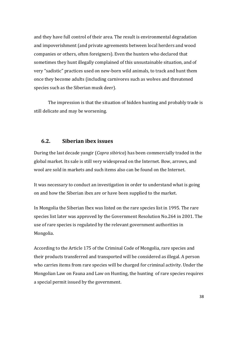and they have full control of their area. The result is environmental degradation and impoverishment (and private agreements between local herders and wood companies or others, often foreigners). Even the hunters who declared that sometimes they hunt illegally complained of this unsustainable situation, and of very "sadistic" practices used on new-born wild animals, to track and hunt them once they become adults (including carnivores such as wolves and threatened species such as the Siberian musk deer).

The impression is that the situation of hidden hunting and probably trade is still delicate and may be worsening.

#### **6.2. Siberian ibex issues**

During the last decade yangir (*Capra sibirica*) has been commercially traded in the global market. Its sale is still very widespread on the Internet. Bow, arrows, and wool are sold in markets and such items also can be found on the Internet.

It was necessary to conduct an investigation in order to understand what is going on and how the Siberian ibex are or have been supplied to the market.

In Mongolia the Siberian Ibex was listed on the rare species list in 1995. The rare species list later was approved by the Government Resolution No.264 in 2001. The use of rare species is regulated by the relevant government authorities in Mongolia. 

According to the Article 175 of the Criminal Code of Mongolia, rare species and their products transferred and transported will be considered as illegal. A person who carries items from rare species will be charged for criminal activity. Under the Mongolian Law on Fauna and Law on Hunting, the hunting of rare species requires a special permit issued by the government.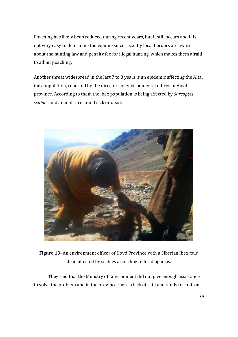Poaching has likely been reduced during recent years, but it still occurs and it is not very easy to determine the volume since recently local herders are aware about the hunting law and penalty fee for illegal hunting, which makes them afraid to admit poaching.

Another threat widespread in the last 7 to 8 years is an epidemic affecting the Altai ibex population, reported by the directors of environmental offices in Hovd province. According to them the ibex population is being affected by *Sarcoptes scabiei*, and animals are found sick or dead.



**Figure 13** - An environment officer of Hovd Province with a Siberian Ibex foud dead affected by scabies according to his diagnosis.

They said that the Ministry of Environment did not give enough assistance to solve the problem and in the province there a lack of skill and funds to confront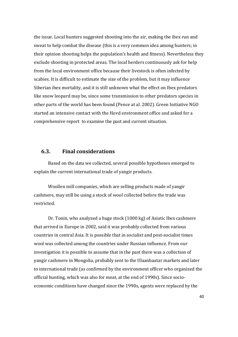the issue. Local hunters suggested shooting into the air, making the ibex run and sweat to help combat the disease (this is a very common idea among hunters; in their opinion shooting helps the population's health and fitness). Nevertheless they exclude shooting in protected areas. The local herders continuously ask for help from the local environment office because their livestock is often infected by scabies. It is difficult to estimate the size of the problem, but it may influence Siberian ibex mortality, and it is still unknown what the effect on Ibex predators like snow leopard may be, since some transmission to other predators species in other parts of the world has been found (Pence at al. 2002). Green Initiative NGO started an intensive contact with the Hovd environment office and asked for a comprehensive report to examine the past and current situation.

#### **6.3. Final considerations**

Based on the data we collected, several possible hypotheses emerged to explain the current international trade of yangir products.

Woollen mill companies, which are selling products made of yangir cashmere, may still be using a stock of wool collected before the trade was restricted. 

Dr. Tonin, who analyzed a huge stock (1000 kg) of Asiatic Ibex cashmere that arrived in Europe in 2002, said it was probably collected from various countries in central Asia. It is possible that in socialist and post-socialist times wool was collected among the countries under Russian influence. From our investigation it is possible to assume that in the past there was a collection of yangir cashmere in Mongolia, probably sent to the Ulaanbaatar markets and later to international trade (as confirmed by the environment officer who organized the official hunting, which was also for meat, at the end of 1990s). Since socioeconomic conditions have changed since the 1990s, agents were replaced by the

40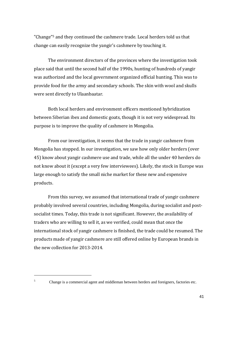"Change"<sup>5</sup> and they continued the cashmere trade. Local herders told us that change can easily recognize the yangir's cashmere by touching it.

The environment directors of the provinces where the investigation took place said that until the second half of the 1990s, hunting of hundreds of yangir was authorized and the local government organized official hunting. This was to provide food for the army and secondary schools. The skin with wool and skulls were sent directly to Ulaanbaatar.

Both local herders and environment officers mentioned hybridization between Siberian ibex and domestic goats, though it is not very widespread. Its purpose is to improve the quality of cashmere in Mongolia.

From our investigation, it seems that the trade in yangir cashmere from Mongolia has stopped. In our investigation, we saw how only older herders (over 45) know about yangir cashmere use and trade, while all the under 40 herders do not know about it (except a very few interviewees). Likely, the stock in Europe was large enough to satisfy the small niche market for these new and expensive products. 

From this survey, we assumed that international trade of yangir cashmere probably involved several countries, including Mongolia, during socialist and postsocialist times. Today, this trade is not significant. However, the availability of traders who are willing to sell it, as we verified, could mean that once the international stock of yangir cashmere is finished, the trade could be resumed. The products made of vangir cashmere are still offered online by European brands in the new collection for 2013-2014.

5

 

Change is a commercial agent and middleman between herders and foreigners, factories etc.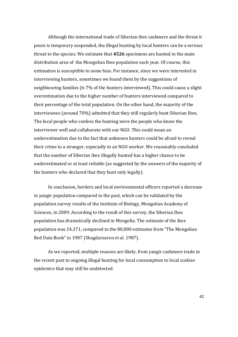Although the international trade of Siberian ibex cashmere and the threat it poses is temporary suspended, the illegal hunting by local hunters can be a serious threat to the species. We estimate that 4526 specimens are hunted in the main distribution area of the Mongolian Ibex population each year. Of course, this estimation is susceptible to some bias. For instance, since we were interested in interviewing hunters, sometimes we found them by the suggestions of neighbouring families  $(6-7%$  of the hunters interviewed). This could cause a slight overestimation due to the higher number of hunters interviewed compared to their percentage of the total population. On the other hand, the majority of the interviewees (around 70%) admitted that they still regularly hunt Siberian Ibex. The local people who confess the hunting were the people who know the interviewer well and collaborate with our NGO. This could mean an underestimation due to the fact that unknown hunters could be afraid to reveal their crime to a stranger, especially to an NGO worker. We reasonably concluded that the number of Siberian ibex illegally hunted has a higher chance to be underestimated or at least reliable (as suggested by the answers of the majority of the hunters who declared that they hunt only legally).

In conclusion, herders and local environmental officers reported a decrease in yangir population compared to the past, which can be validated by the population survey results of the Institute of Biology, Mongolian Academy of Sciences, in 2009. According to the result of this survey, the Siberian Ibex population has dramatically declined in Mongolia. The estimate of the ibex population was 24,371, compared to the 80,000 estimates from "The Mongolian Red Data Book" in 1987 (Shagdarsuren et al. 1987).

As we reported, multiple reasons are likely, from yangir cashmere trade in the recent past to ongoing illegal hunting for local consumption to local scabies epidemics that may still be undetected.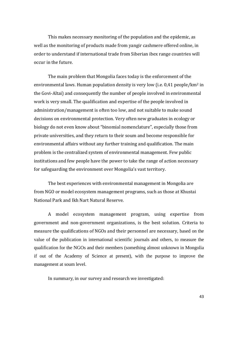This makes necessary monitoring of the population and the epidemic, as well as the monitoring of products made from yangir cashmere offered online, in order to understand if international trade from Siberian ibex range countries will occur in the future.

The main problem that Mongolia faces today is the enforcement of the environmental laws. Human population density is very low (i.e.  $0.41$  people/km<sup>2</sup> in the Govi-Altai) and consequently the number of people involved in environmental work is very small. The qualification and expertise of the people involved in administration/management is often too low, and not suitable to make sound decisions on environmental protection. Very often new graduates in ecology or biology do not even know about "binomial nomenclature", especially those from private universities, and they return to their soum and become responsible for environmental affairs without any further training and qualification. The main problem is the centralized system of environmental management. Few public institutions and few people have the power to take the range of action necessary for safeguarding the environment over Mongolia's vast territory.

The best experiences with environmental management in Mongolia are from NGO or model ecosystem management programs, such as those at Khustai National Park and Ikh Nart Natural Reserve.

A model ecosystem management program, using expertise from government and non-government organizations, is the best solution. Criteria to measure the qualifications of NGOs and their personnel are necessary, based on the value of the publication in international scientific journals and others, to measure the qualification for the NGOs and their members (something almost unknown in Mongolia if out of the Academy of Science at present), with the purpose to improve the management at soum level.

In summary, in our survey and research we investigated: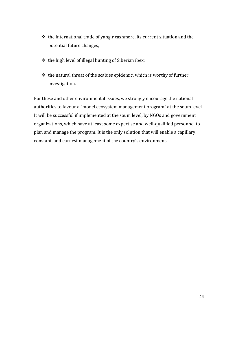- $\cdot$  the international trade of yangir cashmere, its current situation and the potential future changes;
- $\triangleq$  the high level of illegal hunting of Siberian ibex;
- $\cdot$  the natural threat of the scabies epidemic, which is worthy of further investigation.

For these and other environmental issues, we strongly encourage the national authorities to favour a "model ecosystem management program" at the soum level. It will be successful if implemented at the soum level, by NGOs and government organizations, which have at least some expertise and well-qualified personnel to plan and manage the program. It is the only solution that will enable a capillary, constant, and earnest management of the country's environment.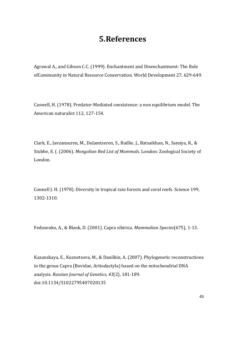## **5.References**

Agrawal A., and Gibson C.C. (1999). Enchantment and Disenchantment: The Role ofCommunity in Natural Resource Conservation. World Development 27, 629-649.

Caswell, H. (1978). Predator-Mediated coexistence: a non equilibrium model. The American naturalist 112, 127-154.

Clark, E., Javzansuren, M., Dulamtseren, S., Baillie, J., Batsaikhan, N., Samiya, R., & Stubbe, E. (. (2006). *Mongolian Red List of Mammals.* London: Zoological Society of London. 

Connell J. H. (1978). Diversity in tropical rain forests and coral reefs. Science 199, 1302‐1310. 

Fedosenko, A., & Blank, D. (2001). Capra sibirica. *Mammalian Species*(675), 1‐13. 

Kazanskaya, E., Kuznetsova, M., & Danilkin, A. (2007). Phylogenetic reconstructions in the genus Capra (Bovidae, Artiodactyla) based on the mitochondrial DNA analysis. *Russian Journal of Genetics, 43*(2), 181‐189. doi:10.1134/S1022795407020135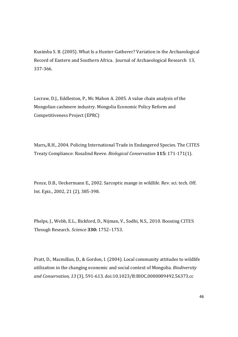Kusimba S. B. (2005). What Is a Hunter-Gatherer? Variation in the Archaeological Record of Eastern and Southern Africa. Journal of Archaeological Research 13, 337‐366. 

Lecraw, D.J., Eddleston, P., Mc Mahon A. 2005. A value chain analysis of the Mongolian cashmere industry. Mongolia Economic Policy Reform and Competitiveness Project (EPRC)

Marrs, R.H., 2004. Policing International Trade in Endangered Species. The CITES Treaty Compliance: Rosalind Reeve. *Biological Conservation* **115:** 171‐171(1).

Pence, D.B., Ueckermann E., 2002. Sarcoptic mange in wildlife. Rev. sci. tech. Off. Int. Epiz., 2002, 21 (2), 385-398.

Phelps, I., Webb, E.L., Bickford, D., Nijman, V., Sodhi, N.S., 2010. Boosting CITES Through Research. *Science* **330:** 1752–1753. 

Pratt, D., Macmillan, D., & Gordon, I. (2004). Local community attitudes to wildlife utilization in the changing economic and social context of Mongolia. *Biodiversity and Conservation, 13* (3), 591‐613. doi:10.1023/B:BIOC.0000009492.56373.cc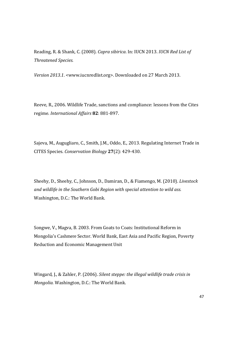Reading, R. & Shank, C. (2008). *Capra sibirica*. In: IUCN 2013. *IUCN Red List of Threatened Species.*

*Version 2013.1.* <www.iucnredlist.org>. Downloaded on 27 March 2013.

Reeve, R., 2006. Wildlife Trade, sanctions and compliance: lessons from the Cites regime. *International Affairs* **82**: 881‐897. 

Sajeva, M., Augugliaro, C., Smith, J.M., Oddo, E., 2013. Regulating Internet Trade in CITES Species. *Conservation Biology* **27**(2): 429‐430. 

Sheehy, D., Sheehy, C., Johnson, D., Damiran, D., & Fiamengo, M. (2010). *Livestock and wildlife in the Southern Gobi Region with special attention to wild ass.* Washington, D.C.: The World Bank.

Songwe, V., Magva, B. 2003. From Goats to Coats: Institutional Reform in Mongolia's Cashmere Sector. World Bank, East Asia and Pacific Region, Poverty Reduction and Economic Management Unit

Wingard, J., & Zahler, P. (2006). *Silent steppe: the illegal wildlife trade crisis in Mongolia.* Washington, D.C.: The World Bank.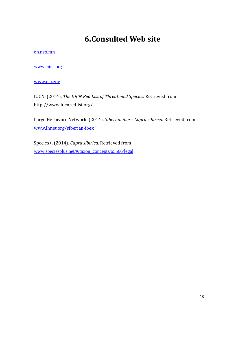# **6.Consulted Web site**

#### en.nso.mn

www.cites.org

www.cia.gov 

IUCN. (2014). *The IUCN Red List of Threatened Species*. Retrieved from http://www.iucnredlist.org/ 

Large Herbivore Network. (2014). Siberian ibex - Capra sibirica. Retrieved from www.lhnet.org/siberian‐ibex 

Species+. (2014). *Capra sibirica*. Retrieved from www.speciesplus.net/#/taxon\_concepts/65566/legal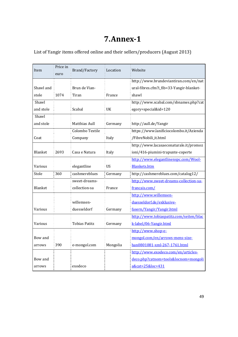# **7.Annex‐1**

List of Yangir items offered online and their sellers/producers (August 2013)

| Item      | Price in<br>euro | Brand/Factory        | Location | Website                                  |
|-----------|------------------|----------------------|----------|------------------------------------------|
|           |                  |                      |          | http://www.brundeviantiran.com/en/nat    |
|           |                  |                      |          |                                          |
| Shawl and |                  | Brun de Vian-        |          | ural-fibres.cfm?i_fib=33-Yangir-blanket- |
| stole     | 1074             | Tiran                | France   | shawl                                    |
| Shawl     |                  |                      |          | http://www.scabal.com/sbnames.php?cat    |
| and stole |                  | Scabal               | UK       | egory=special&id=120                     |
| Shawl     |                  |                      |          |                                          |
| and stole |                  | Matthias Aull        | Germany  | http://aull.de/Yangir                    |
|           |                  | Colombo Textile      |          | https://www.lanificiocolombo.it/Azienda  |
| Coat      |                  | Company              | Italy    | /FibreNobili_it.html                     |
|           |                  |                      |          | http://www.lacasaeconaturale.it/promoz   |
| Blanket   | 2693             | Casa e Natura        | Italy    | ioni/416-piumini-trapunte-coperte        |
|           |                  |                      |          | http://www.elegantlinenspc.com/Wool-     |
| Various   |                  | elegantline          | US       | <b>Blankets.htm</b>                      |
| Stole     | 360              | cashmereblues        | Germany  | http://cashmereblues.com/catalog12/      |
|           |                  | sweet-dreams-        |          | http://www.sweet-dreams-collection-sa-   |
| Blanket   |                  | collection-sa        | France   | francais.com/                            |
|           |                  |                      |          | http://www.willemsen-                    |
|           |                  | willemsen-           |          | duesseldorf.de/exklusive-                |
| Various   |                  | duesseldorf          | Germany  | fasern/Yangir/Yangir.html                |
|           |                  |                      |          | http://www.tobiaspatitz.com/seiten/blac  |
| Various   |                  | <b>Tobias Patitz</b> | Germany  | k-label/06-Yangir.html                   |
|           |                  |                      |          | http://www.shop-e-                       |
| Bow and   |                  |                      |          | mongol.com/en/arrows-mens-size-          |
| arrows    | 390              | e-mongol.com         | Mongolia | han0801081-xml-267-1761.html             |
|           |                  |                      |          | http://www.exodeco.com/en/articles-      |
| Bow and   |                  |                      |          | deco.php?catnom=tools&locnom=mongoli     |
| arrows    |                  | exodeco              |          | a&cat=25&loc=431                         |